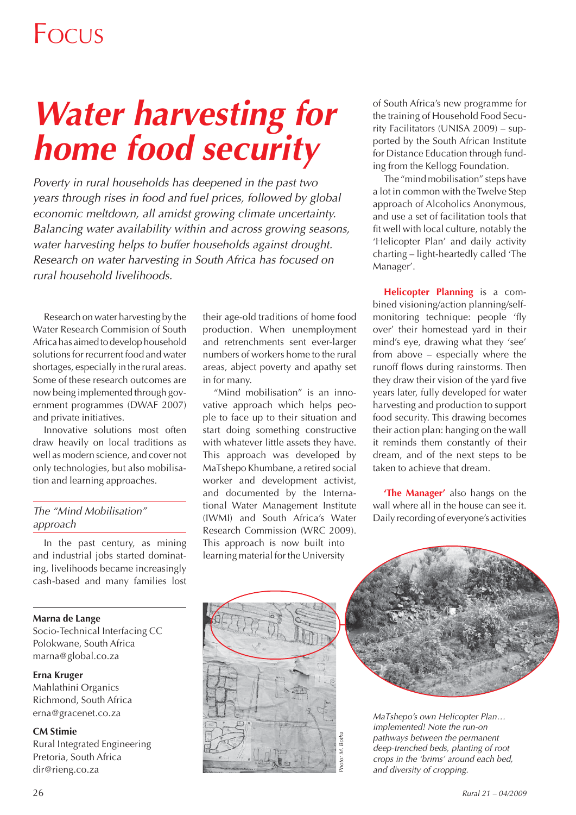# *Water harvesting for home food security*

*Poverty in rural households has deepened in the past two years through rises in food and fuel prices, followed by global economic meltdown, all amidst growing climate uncertainty. Balancing water availability within and across growing seasons, water harvesting helps to buffer households against drought. Research on water harvesting in South Africa has focused on rural household livelihoods.*

Research on water harvesting by the Water Research Commision of South Africa has aimed to develop household solutions for recurrent food and water shortages, especially in the rural areas. Some of these research outcomes are now being implemented through government programmes (DWAF 2007) and private initiatives.

Innovative solutions most often draw heavily on local traditions as well as modern science, and cover not only technologies, but also mobilisation and learning approaches.

#### *The "Mind Mobilisation" approach*

In the past century, as mining and industrial jobs started dominating, livelihoods became increasingly cash-based and many families lost

#### **Marna de Lange**

Socio-Technical Interfacing CC Polokwane, South Africa marna@global.co.za

#### **Erna Kruger**

Mahlathini Organics Richmond, South Africa erna@gracenet.co.za

#### **CM Stimie**

Rural Integrated Engineering Pretoria, South Africa dir@rieng.co.za

their age-old traditions of home food production. When unemployment and retrenchments sent ever-larger numbers of workers home to the rural areas, abject poverty and apathy set in for many.

"Mind mobilisation" is an innovative approach which helps people to face up to their situation and start doing something constructive with whatever little assets they have. This approach was developed by MaTshepo Khumbane, a retired social worker and development activist, and documented by the International Water Management Institute (IWMI) and South Africa's Water Research Commission (WRC 2009). This approach is now built into learning material for the University

of South Africa's new programme for the training of Household Food Security Facilitators (UNISA 2009) – supported by the South African Institute for Distance Education through funding from the Kellogg Foundation.

The "mind mobilisation" steps have a lot in common with the Twelve Step approach of Alcoholics Anonymous, and use a set of facilitation tools that fit well with local culture, notably the 'Helicopter Plan' and daily activity charting – light-heartedly called 'The Manager'.

**Helicopter Planning** is a combined visioning/action planning/selfmonitoring technique: people 'fly over' their homestead yard in their mind's eye, drawing what they 'see' from above – especially where the runoff flows during rainstorms. Then they draw their vision of the yard five years later, fully developed for water harvesting and production to support food security. This drawing becomes their action plan: hanging on the wall it reminds them constantly of their dream, and of the next steps to be taken to achieve that dream.

**'The Manager'** also hangs on the wall where all in the house can see it. Daily recording of everyone's activities





*MaTshepo's own Helicopter Plan… implemented! Note the run-on pathways between the permanent deep-trenched beds, planting of root crops in the 'brims' around each bed, and diversity of cropping.*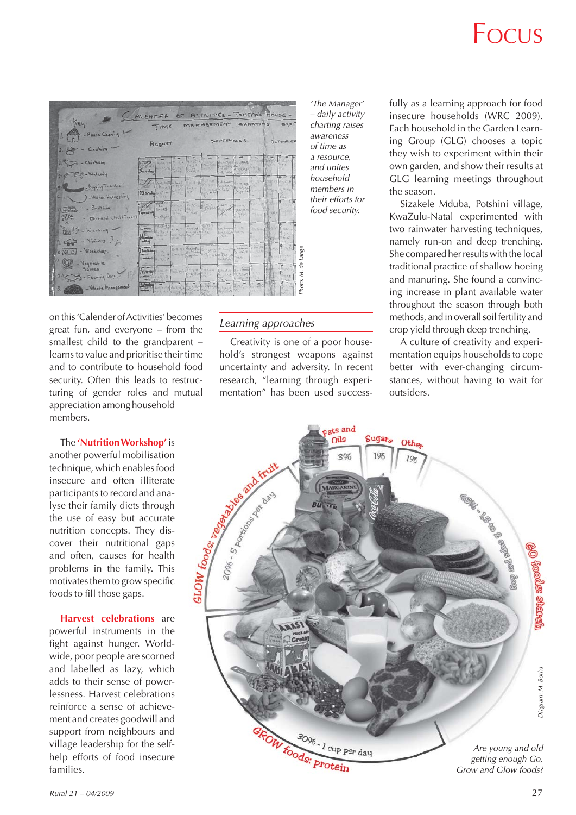| Key.                                                                             |                   | CALENDER OF RETIVITIES - TOHEPO'S HOUSE -<br>MAKASEMENT<br><b>CHARTINS</b><br>TIME |                                           |               |                                                                                                                                                                                                                                                                                                                                                |                                                        |                                  |                                  |                |                                                        |
|----------------------------------------------------------------------------------|-------------------|------------------------------------------------------------------------------------|-------------------------------------------|---------------|------------------------------------------------------------------------------------------------------------------------------------------------------------------------------------------------------------------------------------------------------------------------------------------------------------------------------------------------|--------------------------------------------------------|----------------------------------|----------------------------------|----------------|--------------------------------------------------------|
| 1. Federal - House Cleaning<br>$2. \n\heartsuit - \n\text{Cosking} \n\heartsuit$ | August            |                                                                                    |                                           | SEPTEMBER.    |                                                                                                                                                                                                                                                                                                                                                |                                                        |                                  |                                  | OCTOGLER       |                                                        |
| 3. Chickens<br>- Watering                                                        | Junday            |                                                                                    | <b>Carling</b>                            | $D = 2, 7$    | STANDARD CONTROL PROPERTY                                                                                                                                                                                                                                                                                                                      | <b>CARINA CANAS</b>                                    | 推定性丸化                            | 1 print 15                       |                | <b>Brazil</b>                                          |
| 1 - Digging render.<br>J- Water Hawesting                                        |                   |                                                                                    |                                           |               | The passible and the contract of the company<br>for a fortest despite a more for the se                                                                                                                                                                                                                                                        |                                                        |                                  | 41 157 野田市場山296                  |                | $0.05 - 1$<br>W.<br><b>KORALIN</b><br>Cast             |
| FOR - Building<br>- Ochard (Fruit Tres                                           | <b>TARSWAY</b>    | Tel. 3 H 12-<br><b>TOW</b><br><b>City</b><br>$-15.14$                              | $-19821$<br>$c = 15 - 1040$<br>WILL LITLE |               | do you Rillian comme                                                                                                                                                                                                                                                                                                                           | 1.107999924.18.13<br>BUSINE RUSSELLAND<br>$\sqrt{2}$   | CHILIKA.                         | ALL LINE<br><b>STATISTICS</b>    |                |                                                        |
| 187 5 - Washing<br>$-$ Visitors.                                                 |                   | Listen                                                                             | <b>Shifford</b> I                         |               | $\frac{1}{\sum_{i=1}^{n} \sum_{j=1}^{n} \sum_{j=1}^{n} \sum_{j=1}^{n} \sum_{j=1}^{n} \sum_{j=1}^{n} \sum_{j=1}^{n} \sum_{j=1}^{n} \sum_{j=1}^{n} \sum_{j=1}^{n} \sum_{j=1}^{n} \sum_{j=1}^{n} \sum_{j=1}^{n} \sum_{j=1}^{n} \sum_{j=1}^{n} \sum_{j=1}^{n} \sum_{j=1}^{n} \sum_{j=1}^{n} \sum_{j=1}^{n} \sum_{j=1}^{n} \sum_{j=1}^{n} \sum_{j=$ | B.W. Bearing of C. L. a.<br>ACCESSIBLE BURGE<br>(1, 0) |                                  | <b>Closterio</b><br><b>CARLO</b> |                | West Chicago<br>1.50111<br>Custo.<br><b>CONTRACTOR</b> |
| - Workshop.<br>OWD<br>Vegetable                                                  |                   | $-348$ $0+31.4$                                                                    |                                           |               | Therefore many (6-3 %) FIRE CALLED FOR THE STATE STATE OF THE ALL PASSES<br><b>HERAUS</b> SHE CHANGE CAPTAIN P-3, FROM TESTAS                                                                                                                                                                                                                  | CORINAR                                                | $1 - 4$<br>ART.                  | St Sartis<br><b>CALLS</b>        | $28 - 11$      | 1590, Miller<br>16                                     |
| gazden<br>- Feeding Dags                                                         |                   | $1.5 - 1.5$                                                                        |                                           | <b>Circle</b> | Triday Lawre Easy of Research Britain Bonding Band Party<br><b>Crest</b>                                                                                                                                                                                                                                                                       | BULLIN PICESOL<br>27.1                                 | <b>NADINE</b><br>Spotlant String | the Arry                         |                | o<br><b>Riggina</b><br>$-1.14$<br><b>CONTROL</b>       |
| - Waste Management.                                                              | $-1$<br>Surface - | Ack the Cart                                                                       |                                           |               | $10 - 40$ $10 - 500$ $-40$<br>And Alexander Street Park of the Company of the Company of the Company of the Company of the Company of the Company of the Company of the Company of the Company of the Company of the Company of the Company of the Company o                                                                                   | Frito 200 49                                           |                                  | $a = 11.72$                      | <b>SY 8700</b> | $B = 1$<br><b>FACULTS</b><br><b>Silve</b>              |

*'The Manager' – daily activity charting raises awareness of time as a resource, and unites household members in their efforts for food security.*

on this 'Calender of Activities' becomes great fun, and everyone – from the smallest child to the grandparent – learns to value and prioritise their time and to contribute to household food security. Often this leads to restructuring of gender roles and mutual appreciation among household members.

The **'Nutrition Workshop'** is another powerful mobilisation technique, which enables food insecure and often illiterate participants to record and analyse their family diets through the use of easy but accurate nutrition concepts. They discover their nutritional gaps and often, causes for health problems in the family. This motivates them to grow specific foods to fill those gaps.

**Harvest celebrations** are powerful instruments in the fight against hunger. Worldwide, poor people are scorned and labelled as lazy, which adds to their sense of powerlessness. Harvest celebrations reinforce a sense of achievement and creates goodwill and support from neighbours and village leadership for the selfhelp efforts of food insecure families.

#### *Learning approaches*

Creativity is one of a poor household's strongest weapons against uncertainty and adversity. In recent research, "learning through experimentation" has been used success-

fully as a learning approach for food insecure households (WRC 2009). Each household in the Garden Learning Group (GLG) chooses a topic they wish to experiment within their own garden, and show their results at GLG learning meetings throughout the season.

Sizakele Mduba, Potshini village, KwaZulu-Natal experimented with two rainwater harvesting techniques, namely run-on and deep trenching. She compared her results with the local traditional practice of shallow hoeing and manuring. She found a convincing increase in plant available water throughout the season through both methods, and in overall soil fertility and crop yield through deep trenching.

A culture of creativity and experimentation equips households to cope better with ever-changing circumstances, without having to wait for outsiders.

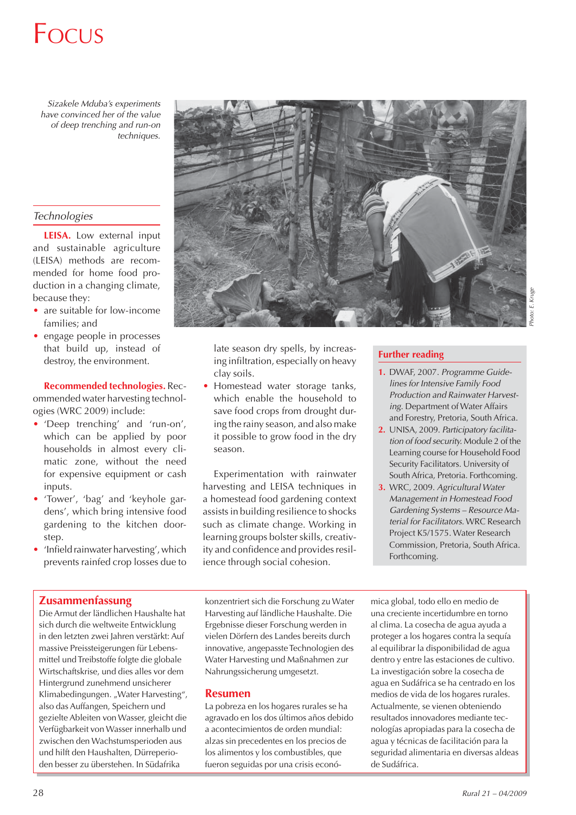*Sizakele Mduba's experiments have convinced her of the value of deep trenching and run-on techniques.*

#### *Technologies*

**LEISA.** Low external input and sustainable agriculture (LEISA) methods are recommended for home food production in a changing climate, because they:

- are suitable for low-income families; and
- engage people in processes that build up, instead of destroy, the environment.

#### **Recommended technologies.** Rec-

ommended water harvesting technologies (WRC 2009) include:

- 'Deep trenching' and 'run-on', which can be applied by poor households in almost every climatic zone, without the need for expensive equipment or cash inputs.
- 'Tower', 'bag' and 'keyhole gardens', which bring intensive food gardening to the kitchen doorstep.
- 'Infield rainwater harvesting', which prevents rainfed crop losses due to

#### **Zusammenfassung**

Die Armut der ländlichen Haushalte hat sich durch die weltweite Entwicklung in den letzten zwei Jahren verstärkt: Auf massive Preissteigerungen für Lebensmittel und Treibstoffe folgte die globale Wirtschaftskrise, und dies alles vor dem Hintergrund zunehmend unsicherer Klimabedingungen. "Water Harvesting", also das Auffangen, Speichern und gezielte Ableiten von Wasser, gleicht die Verfügbarkeit von Wasser innerhalb und zwischen den Wachstumsperioden aus und hilft den Haushalten, Dürreperioden besser zu überstehen. In Südafrika



late season dry spells, by increasing infiltration, especially on heavy clay soils.

• Homestead water storage tanks, which enable the household to save food crops from drought during the rainy season, and also make it possible to grow food in the dry season.

Experimentation with rainwater harvesting and LEISA techniques in a homestead food gardening context assists in building resilience to shocks such as climate change. Working in learning groups bolster skills, creativity and confidence and provides resilience through social cohesion.

#### **Further reading**

- **1.** DWAF, 2007. *Programme Guidelines for Intensive Family Food Production and Rainwater Harvesting.* Department of Water Affairs and Forestry, Pretoria, South Africa.
- **2.** UNISA, 2009. *Participatory facilitation of food security.* Module 2 of the Learning course for Household Food Security Facilitators. University of South Africa, Pretoria. Forthcoming.
- **3.** WRC, 2009. *Agricultural Water Management in Homestead Food Gardening Systems – Resource Material for Facilitators.* WRC Research Project K5/1575. Water Research Commission, Pretoria, South Africa. Forthcoming.

konzentriert sich die Forschung zu Water Harvesting auf ländliche Haushalte. Die Ergebnisse dieser Forschung werden in vielen Dörfern des Landes bereits durch innovative, angepasste Technologien des Water Harvesting und Maßnahmen zur Nahrungssicherung umgesetzt.

#### **Resumen**

La pobreza en los hogares rurales se ha agravado en los dos últimos años debido a acontecimientos de orden mundial: alzas sin precedentes en los precios de los alimentos y los combustibles, que fueron seguidas por una crisis económica global, todo ello en medio de una creciente incertidumbre en torno al clima. La cosecha de agua ayuda a proteger a los hogares contra la sequía al equilibrar la disponibilidad de agua dentro y entre las estaciones de cultivo. La investigación sobre la cosecha de agua en Sudáfrica se ha centrado en los medios de vida de los hogares rurales. Actualmente, se vienen obteniendo resultados innovadores mediante tecnologías apropiadas para la cosecha de agua y técnicas de facilitación para la seguridad alimentaria en diversas aldeas de Sudáfrica.